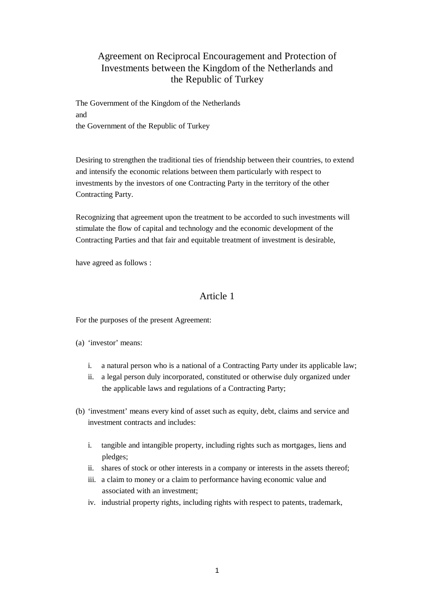# Agreement on Reciprocal Encouragement and Protection of Investments between the Kingdom of the Netherlands and the Republic of Turkey

The Government of the Kingdom of the Netherlands and the Government of the Republic of Turkey

Desiring to strengthen the traditional ties of friendship between their countries, to extend and intensify the economic relations between them particularly with respect to investments by the investors of one Contracting Party in the territory of the other Contracting Party.

Recognizing that agreement upon the treatment to be accorded to such investments will stimulate the flow of capital and technology and the economic development of the Contracting Parties and that fair and equitable treatment of investment is desirable,

have agreed as follows :

#### Article 1

For the purposes of the present Agreement:

(a) 'investor' means:

- i. a natural person who is a national of a Contracting Party under its applicable law;
- ii. a legal person duly incorporated, constituted or otherwise duly organized under the applicable laws and regulations of a Contracting Party;
- (b) 'investment' means every kind of asset such as equity, debt, claims and service and investment contracts and includes:
	- i. tangible and intangible property, including rights such as mortgages, liens and pledges;
	- ii. shares of stock or other interests in a company or interests in the assets thereof;
	- iii. a claim to money or a claim to performance having economic value and associated with an investment;
	- iv. industrial property rights, including rights with respect to patents, trademark,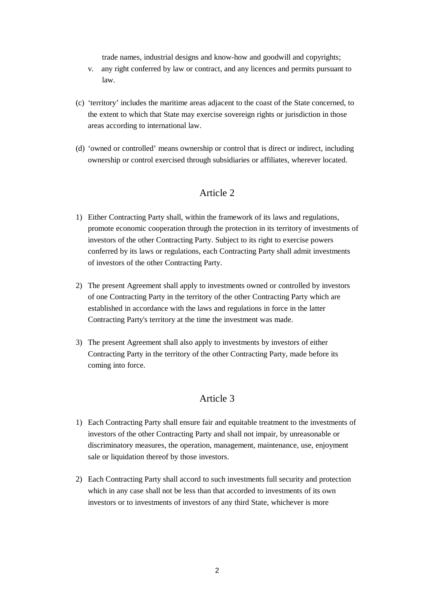trade names, industrial designs and know-how and goodwill and copyrights;

- v. any right conferred by law or contract, and any licences and permits pursuant to law.
- (c) 'territory' includes the maritime areas adjacent to the coast of the State concerned, to the extent to which that State may exercise sovereign rights or jurisdiction in those areas according to international law.
- (d) 'owned or controlled' means ownership or control that is direct or indirect, including ownership or control exercised through subsidiaries or affiliates, wherever located.

## Article 2

- 1) Either Contracting Party shall, within the framework of its laws and regulations, promote economic cooperation through the protection in its territory of investments of investors of the other Contracting Party. Subject to its right to exercise powers conferred by its laws or regulations, each Contracting Party shall admit investments of investors of the other Contracting Party.
- 2) The present Agreement shall apply to investments owned or controlled by investors of one Contracting Party in the territory of the other Contracting Party which are established in accordance with the laws and regulations in force in the latter Contracting Party's territory at the time the investment was made.
- 3) The present Agreement shall also apply to investments by investors of either Contracting Party in the territory of the other Contracting Party, made before its coming into force.

### Article 3

- 1) Each Contracting Party shall ensure fair and equitable treatment to the investments of investors of the other Contracting Party and shall not impair, by unreasonable or discriminatory measures, the operation, management, maintenance, use, enjoyment sale or liquidation thereof by those investors.
- 2) Each Contracting Party shall accord to such investments full security and protection which in any case shall not be less than that accorded to investments of its own investors or to investments of investors of any third State, whichever is more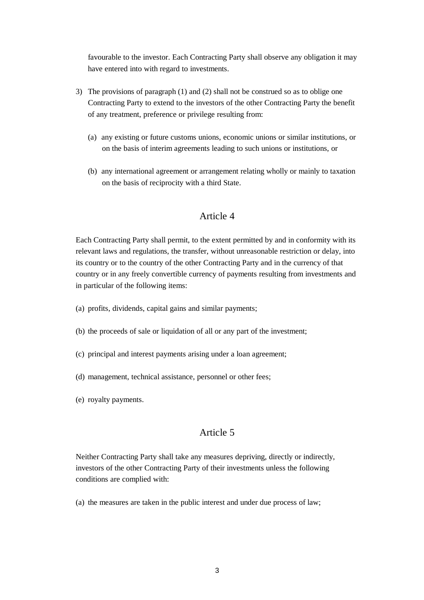favourable to the investor. Each Contracting Party shall observe any obligation it may have entered into with regard to investments.

- 3) The provisions of paragraph (1) and (2) shall not be construed so as to oblige one Contracting Party to extend to the investors of the other Contracting Party the benefit of any treatment, preference or privilege resulting from:
	- (a) any existing or future customs unions, economic unions or similar institutions, or on the basis of interim agreements leading to such unions or institutions, or
	- (b) any international agreement or arrangement relating wholly or mainly to taxation on the basis of reciprocity with a third State.

### Article 4

Each Contracting Party shall permit, to the extent permitted by and in conformity with its relevant laws and regulations, the transfer, without unreasonable restriction or delay, into its country or to the country of the other Contracting Party and in the currency of that country or in any freely convertible currency of payments resulting from investments and in particular of the following items:

- (a) profits, dividends, capital gains and similar payments;
- (b) the proceeds of sale or liquidation of all or any part of the investment;
- (c) principal and interest payments arising under a loan agreement;
- (d) management, technical assistance, personnel or other fees;
- (e) royalty payments.

#### Article 5

Neither Contracting Party shall take any measures depriving, directly or indirectly, investors of the other Contracting Party of their investments unless the following conditions are complied with:

(a) the measures are taken in the public interest and under due process of law;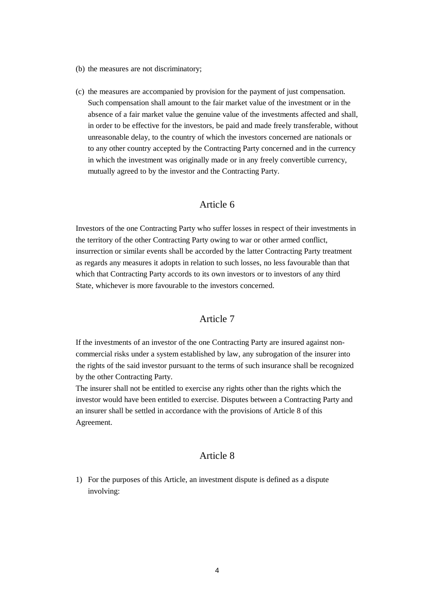- (b) the measures are not discriminatory;
- (c) the measures are accompanied by provision for the payment of just compensation. Such compensation shall amount to the fair market value of the investment or in the absence of a fair market value the genuine value of the investments affected and shall, in order to be effective for the investors, be paid and made freely transferable, without unreasonable delay, to the country of which the investors concerned are nationals or to any other country accepted by the Contracting Party concerned and in the currency in which the investment was originally made or in any freely convertible currency, mutually agreed to by the investor and the Contracting Party.

#### Article 6

Investors of the one Contracting Party who suffer losses in respect of their investments in the territory of the other Contracting Party owing to war or other armed conflict, insurrection or similar events shall be accorded by the latter Contracting Party treatment as regards any measures it adopts in relation to such losses, no less favourable than that which that Contracting Party accords to its own investors or to investors of any third State, whichever is more favourable to the investors concerned.

#### Article 7

If the investments of an investor of the one Contracting Party are insured against noncommercial risks under a system established by law, any subrogation of the insurer into the rights of the said investor pursuant to the terms of such insurance shall be recognized by the other Contracting Party.

The insurer shall not be entitled to exercise any rights other than the rights which the investor would have been entitled to exercise. Disputes between a Contracting Party and an insurer shall be settled in accordance with the provisions of Article 8 of this Agreement.

#### Article 8

1) For the purposes of this Article, an investment dispute is defined as a dispute involving: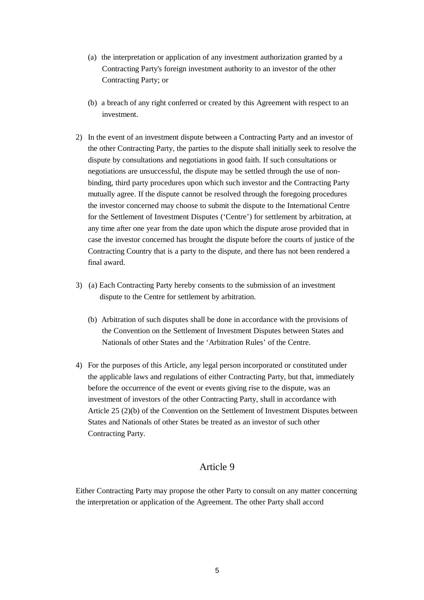- (a) the interpretation or application of any investment authorization granted by a Contracting Party's foreign investment authority to an investor of the other Contracting Party; or
- (b) a breach of any right conferred or created by this Agreement with respect to an investment.
- 2) In the event of an investment dispute between a Contracting Party and an investor of the other Contracting Party, the parties to the dispute shall initially seek to resolve the dispute by consultations and negotiations in good faith. If such consultations or negotiations are unsuccessful, the dispute may be settled through the use of nonbinding, third party procedures upon which such investor and the Contracting Party mutually agree. If the dispute cannot be resolved through the foregoing procedures the investor concerned may choose to submit the dispute to the International Centre for the Settlement of Investment Disputes ('Centre') for settlement by arbitration, at any time after one year from the date upon which the dispute arose provided that in case the investor concerned has brought the dispute before the courts of justice of the Contracting Country that is a party to the dispute, and there has not been rendered a final award.
- 3) (a) Each Contracting Party hereby consents to the submission of an investment dispute to the Centre for settlement by arbitration.
	- (b) Arbitration of such disputes shall be done in accordance with the provisions of the Convention on the Settlement of Investment Disputes between States and Nationals of other States and the 'Arbitration Rules' of the Centre.
- 4) For the purposes of this Article, any legal person incorporated or constituted under the applicable laws and regulations of either Contracting Party, but that, immediately before the occurrence of the event or events giving rise to the dispute, was an investment of investors of the other Contracting Party, shall in accordance with Article 25 (2)(b) of the Convention on the Settlement of Investment Disputes between States and Nationals of other States be treated as an investor of such other Contracting Party.

# Article 9

Either Contracting Party may propose the other Party to consult on any matter concerning the interpretation or application of the Agreement. The other Party shall accord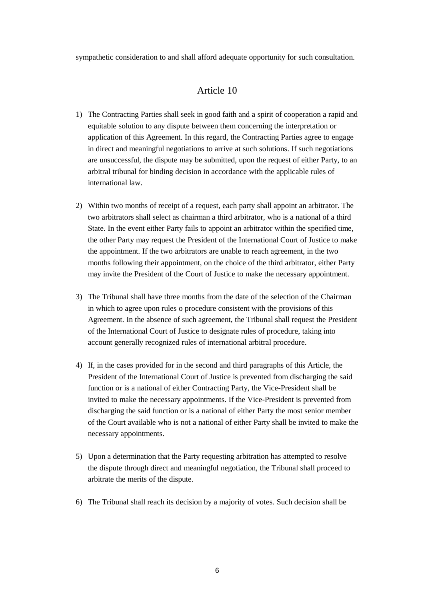sympathetic consideration to and shall afford adequate opportunity for such consultation.

### Article 10

- 1) The Contracting Parties shall seek in good faith and a spirit of cooperation a rapid and equitable solution to any dispute between them concerning the interpretation or application of this Agreement. In this regard, the Contracting Parties agree to engage in direct and meaningful negotiations to arrive at such solutions. If such negotiations are unsuccessful, the dispute may be submitted, upon the request of either Party, to an arbitral tribunal for binding decision in accordance with the applicable rules of international law.
- 2) Within two months of receipt of a request, each party shall appoint an arbitrator. The two arbitrators shall select as chairman a third arbitrator, who is a national of a third State. In the event either Party fails to appoint an arbitrator within the specified time, the other Party may request the President of the International Court of Justice to make the appointment. If the two arbitrators are unable to reach agreement, in the two months following their appointment, on the choice of the third arbitrator, either Party may invite the President of the Court of Justice to make the necessary appointment.
- 3) The Tribunal shall have three months from the date of the selection of the Chairman in which to agree upon rules o procedure consistent with the provisions of this Agreement. In the absence of such agreement, the Tribunal shall request the President of the International Court of Justice to designate rules of procedure, taking into account generally recognized rules of international arbitral procedure.
- 4) If, in the cases provided for in the second and third paragraphs of this Article, the President of the International Court of Justice is prevented from discharging the said function or is a national of either Contracting Party, the Vice-President shall be invited to make the necessary appointments. If the Vice-President is prevented from discharging the said function or is a national of either Party the most senior member of the Court available who is not a national of either Party shall be invited to make the necessary appointments.
- 5) Upon a determination that the Party requesting arbitration has attempted to resolve the dispute through direct and meaningful negotiation, the Tribunal shall proceed to arbitrate the merits of the dispute.
- 6) The Tribunal shall reach its decision by a majority of votes. Such decision shall be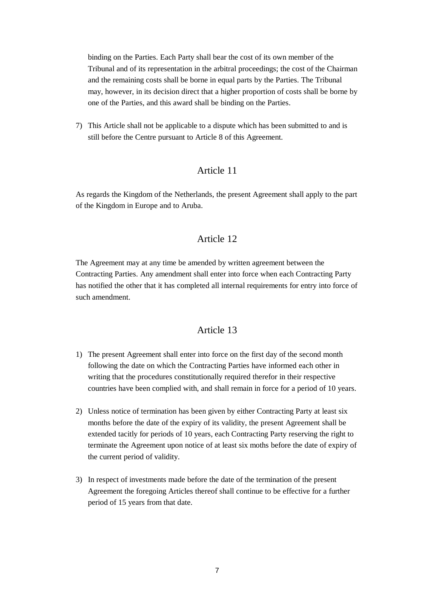binding on the Parties. Each Party shall bear the cost of its own member of the Tribunal and of its representation in the arbitral proceedings; the cost of the Chairman and the remaining costs shall be borne in equal parts by the Parties. The Tribunal may, however, in its decision direct that a higher proportion of costs shall be borne by one of the Parties, and this award shall be binding on the Parties.

7) This Article shall not be applicable to a dispute which has been submitted to and is still before the Centre pursuant to Article 8 of this Agreement.

### Article 11

As regards the Kingdom of the Netherlands, the present Agreement shall apply to the part of the Kingdom in Europe and to Aruba.

# Article 12

The Agreement may at any time be amended by written agreement between the Contracting Parties. Any amendment shall enter into force when each Contracting Party has notified the other that it has completed all internal requirements for entry into force of such amendment.

### Article 13

- 1) The present Agreement shall enter into force on the first day of the second month following the date on which the Contracting Parties have informed each other in writing that the procedures constitutionally required therefor in their respective countries have been complied with, and shall remain in force for a period of 10 years.
- 2) Unless notice of termination has been given by either Contracting Party at least six months before the date of the expiry of its validity, the present Agreement shall be extended tacitly for periods of 10 years, each Contracting Party reserving the right to terminate the Agreement upon notice of at least six moths before the date of expiry of the current period of validity.
- 3) In respect of investments made before the date of the termination of the present Agreement the foregoing Articles thereof shall continue to be effective for a further period of 15 years from that date.